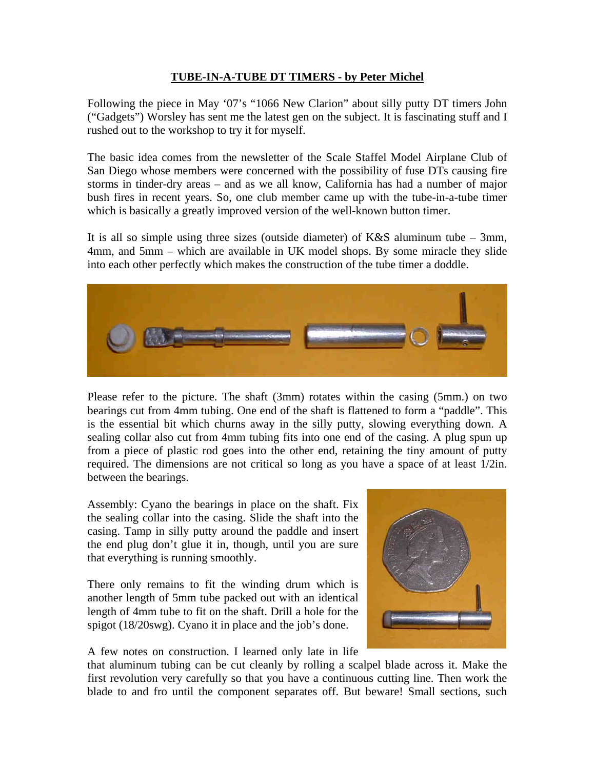## **TUBE-IN-A-TUBE DT TIMERS - by Peter Michel**

Following the piece in May '07's "1066 New Clarion" about silly putty DT timers John ("Gadgets") Worsley has sent me the latest gen on the subject. It is fascinating stuff and I rushed out to the workshop to try it for myself.

The basic idea comes from the newsletter of the Scale Staffel Model Airplane Club of San Diego whose members were concerned with the possibility of fuse DTs causing fire storms in tinder-dry areas – and as we all know, California has had a number of major bush fires in recent years. So, one club member came up with the tube-in-a-tube timer which is basically a greatly improved version of the well-known button timer.

It is all so simple using three sizes (outside diameter) of  $K\&S$  aluminum tube – 3mm, 4mm, and 5mm – which are available in UK model shops. By some miracle they slide into each other perfectly which makes the construction of the tube timer a doddle.



Please refer to the picture. The shaft (3mm) rotates within the casing (5mm.) on two bearings cut from 4mm tubing. One end of the shaft is flattened to form a "paddle". This is the essential bit which churns away in the silly putty, slowing everything down. A sealing collar also cut from 4mm tubing fits into one end of the casing. A plug spun up from a piece of plastic rod goes into the other end, retaining the tiny amount of putty required. The dimensions are not critical so long as you have a space of at least 1/2in. between the bearings.

Assembly: Cyano the bearings in place on the shaft. Fix the sealing collar into the casing. Slide the shaft into the casing. Tamp in silly putty around the paddle and insert the end plug don't glue it in, though, until you are sure that everything is running smoothly.

There only remains to fit the winding drum which is another length of 5mm tube packed out with an identical length of 4mm tube to fit on the shaft. Drill a hole for the spigot (18/20swg). Cyano it in place and the job's done.



A few notes on construction. I learned only late in life

that aluminum tubing can be cut cleanly by rolling a scalpel blade across it. Make the first revolution very carefully so that you have a continuous cutting line. Then work the blade to and fro until the component separates off. But beware! Small sections, such